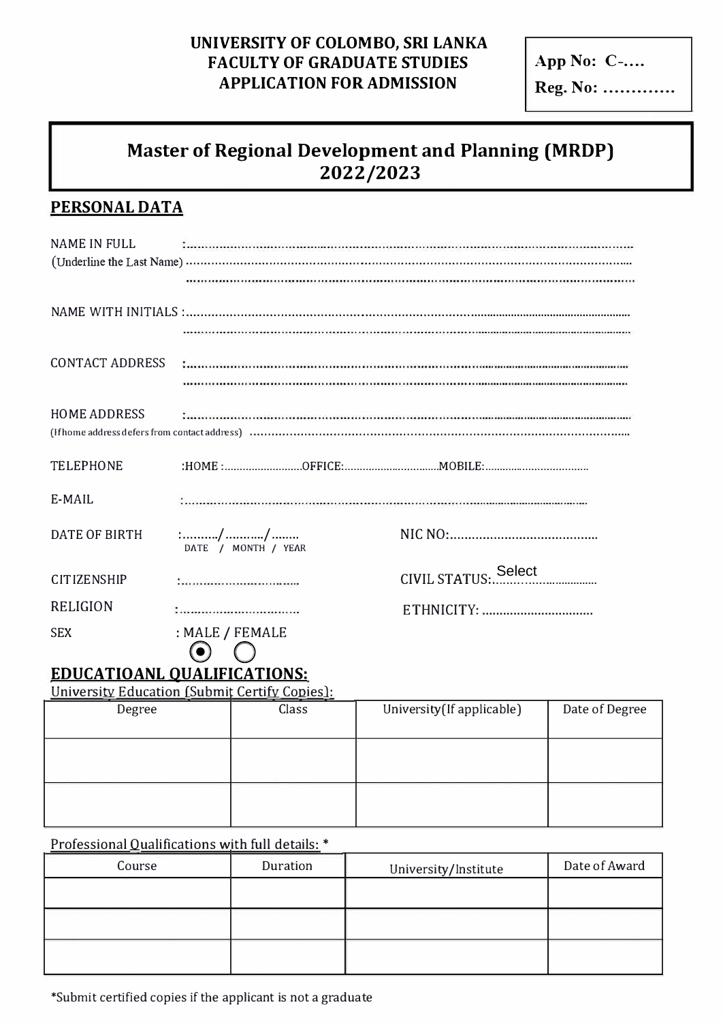### UNIVERSITY OF COLOMBO, SRI LANKA **FACULTY OF GRADUATE STUDIES APPLICATION FOR ADMISSION**

App No: C-.... Reg. No: .............

# **Master of Regional Development and Planning (MRDP)** 2022/2023

## **PERSONAL DATA**

| <b>NAME IN FULL</b> |                                       |                                                                                                             |  |  |
|---------------------|---------------------------------------|-------------------------------------------------------------------------------------------------------------|--|--|
|                     |                                       |                                                                                                             |  |  |
|                     |                                       |                                                                                                             |  |  |
|                     |                                       |                                                                                                             |  |  |
|                     |                                       |                                                                                                             |  |  |
|                     |                                       | HOME ADDRESS <b>And Communication Communication</b> Communication Communication Communication Communication |  |  |
| <b>TELEPHONE</b>    |                                       |                                                                                                             |  |  |
| $E-MAIL$            |                                       |                                                                                                             |  |  |
| DATE OF BIRTH       | DATE / MONTH / YEAR                   |                                                                                                             |  |  |
| <b>CITIZENSHIP</b>  | :                                     |                                                                                                             |  |  |
| <b>RELIGION</b>     |                                       |                                                                                                             |  |  |
| <b>SEX</b>          | : MALE / FEMALE<br>$\odot$ $\bigcirc$ |                                                                                                             |  |  |

# **EDUCATIOANL QUALIFICATIONS:**

University Education (Submit Certify Copies):

| Degree | Class | University (If applicable) | Date of Degree |
|--------|-------|----------------------------|----------------|
|        |       |                            |                |
|        |       |                            |                |

#### Professional Qualifications with full details: \*

| Course | Duration | University/Institute | Date of Award |
|--------|----------|----------------------|---------------|
|        |          |                      |               |
|        |          |                      |               |
|        |          |                      |               |

\*Submit certified copies if the applicant is not a graduate